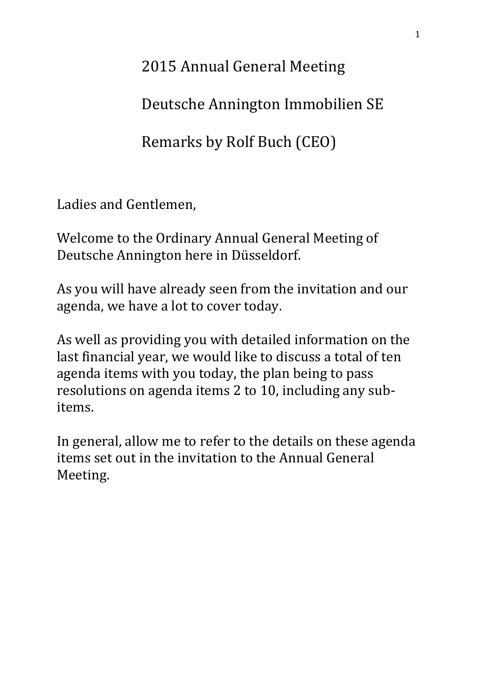2015 Annual General Meeting

Deutsche Annington Immobilien SE

Remarks by Rolf Buch (CEO)

Ladies and Gentlemen,

Welcome to the Ordinary Annual General Meeting of Deutsche Annington here in Düsseldorf.

As you will have already seen from the invitation and our agenda, we have a lot to cover today.

As well as providing you with detailed information on the last financial year, we would like to discuss a total of ten agenda items with you today, the plan being to pass resolutions on agenda items 2 to 10, including any subitems.

In general, allow me to refer to the details on these agenda items set out in the invitation to the Annual General Meeting.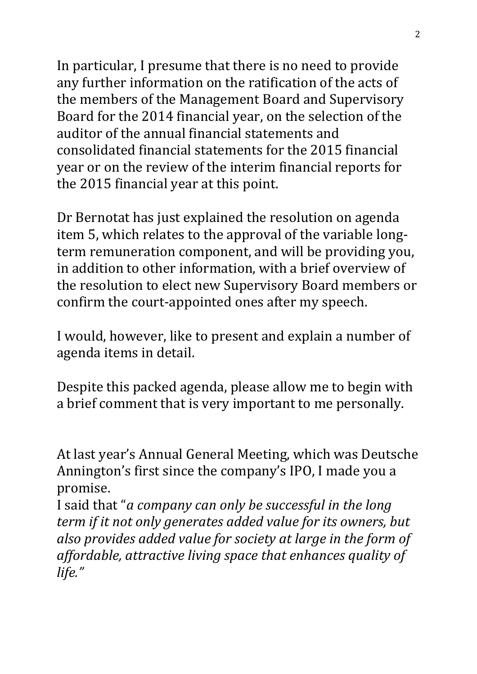In particular, I presume that there is no need to provide any further information on the ratification of the acts of the members of the Management Board and Supervisory Board for the 2014 financial year, on the selection of the auditor of the annual financial statements and consolidated financial statements for the 2015 financial year or on the review of the interim financial reports for the 2015 financial year at this point.

Dr Bernotat has just explained the resolution on agenda item 5, which relates to the approval of the variable longterm remuneration component, and will be providing you, in addition to other information, with a brief overview of the resolution to elect new Supervisory Board members or confirm the court-appointed ones after my speech.

I would, however, like to present and explain a number of agenda items in detail.

Despite this packed agenda, please allow me to begin with a brief comment that is very important to me personally.

At last year's Annual General Meeting, which was Deutsche Annington's first since the company's IPO, I made you a promise.

I said that "*a company can only be successful in the long term if it not only generates added value for its owners, but also provides added value for society at large in the form of affordable, attractive living space that enhances quality of life."*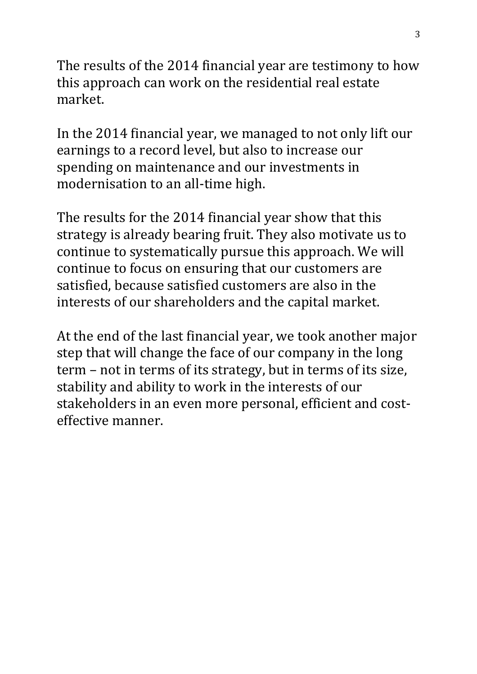The results of the 2014 financial year are testimony to how this approach can work on the residential real estate market.

In the 2014 financial year, we managed to not only lift our earnings to a record level, but also to increase our spending on maintenance and our investments in modernisation to an all-time high.

The results for the 2014 financial year show that this strategy is already bearing fruit. They also motivate us to continue to systematically pursue this approach. We will continue to focus on ensuring that our customers are satisfied, because satisfied customers are also in the interests of our shareholders and the capital market.

At the end of the last financial year, we took another major step that will change the face of our company in the long term – not in terms of its strategy, but in terms of its size, stability and ability to work in the interests of our stakeholders in an even more personal, efficient and costeffective manner.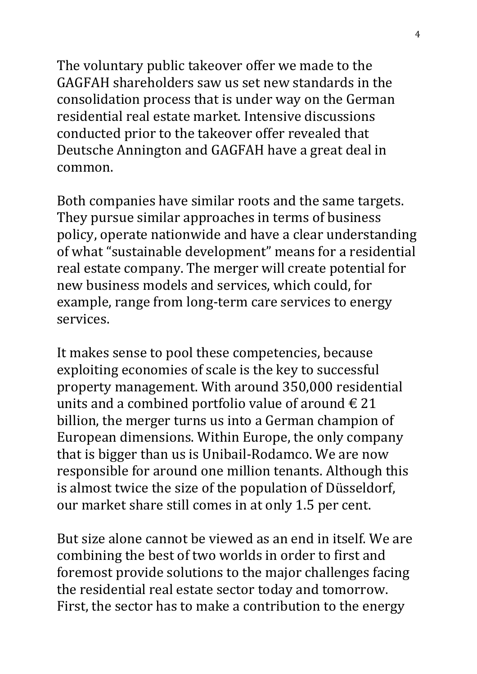The voluntary public takeover offer we made to the GAGFAH shareholders saw us set new standards in the consolidation process that is under way on the German residential real estate market. Intensive discussions conducted prior to the takeover offer revealed that Deutsche Annington and GAGFAH have a great deal in common.

Both companies have similar roots and the same targets. They pursue similar approaches in terms of business policy, operate nationwide and have a clear understanding of what "sustainable development" means for a residential real estate company. The merger will create potential for new business models and services, which could, for example, range from long-term care services to energy services.

It makes sense to pool these competencies, because exploiting economies of scale is the key to successful property management. With around 350,000 residential units and a combined portfolio value of around  $\epsilon$  21 billion, the merger turns us into a German champion of European dimensions. Within Europe, the only company that is bigger than us is Unibail-Rodamco. We are now responsible for around one million tenants. Although this is almost twice the size of the population of Düsseldorf, our market share still comes in at only 1.5 per cent.

But size alone cannot be viewed as an end in itself. We are combining the best of two worlds in order to first and foremost provide solutions to the major challenges facing the residential real estate sector today and tomorrow. First, the sector has to make a contribution to the energy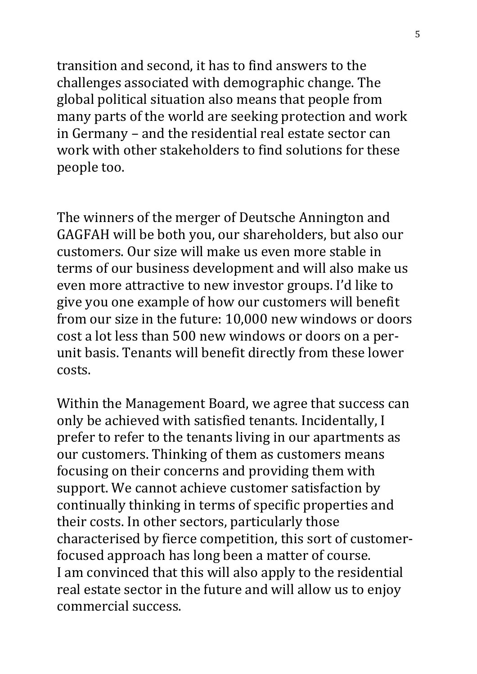transition and second, it has to find answers to the challenges associated with demographic change. The global political situation also means that people from many parts of the world are seeking protection and work in Germany – and the residential real estate sector can work with other stakeholders to find solutions for these people too.

The winners of the merger of Deutsche Annington and GAGFAH will be both you, our shareholders, but also our customers. Our size will make us even more stable in terms of our business development and will also make us even more attractive to new investor groups. I'd like to give you one example of how our customers will benefit from our size in the future: 10,000 new windows or doors cost a lot less than 500 new windows or doors on a perunit basis. Tenants will benefit directly from these lower costs.

Within the Management Board, we agree that success can only be achieved with satisfied tenants. Incidentally, I prefer to refer to the tenants living in our apartments as our customers. Thinking of them as customers means focusing on their concerns and providing them with support. We cannot achieve customer satisfaction by continually thinking in terms of specific properties and their costs. In other sectors, particularly those characterised by fierce competition, this sort of customerfocused approach has long been a matter of course. I am convinced that this will also apply to the residential real estate sector in the future and will allow us to enjoy commercial success.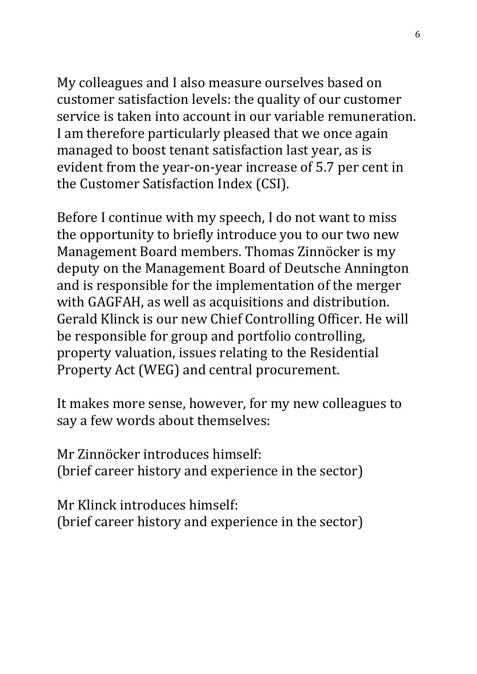My colleagues and I also measure ourselves based on customer satisfaction levels: the quality of our customer service is taken into account in our variable remuneration. I am therefore particularly pleased that we once again managed to boost tenant satisfaction last year, as is evident from the year-on-year increase of 5.7 per cent in the Customer Satisfaction Index (CSI).

Before I continue with my speech, I do not want to miss the opportunity to briefly introduce you to our two new Management Board members. Thomas Zinnöcker is my deputy on the Management Board of Deutsche Annington and is responsible for the implementation of the merger with GAGFAH, as well as acquisitions and distribution. Gerald Klinck is our new Chief Controlling Officer. He will be responsible for group and portfolio controlling, property valuation, issues relating to the Residential Property Act (WEG) and central procurement.

It makes more sense, however, for my new colleagues to say a few words about themselves:

Mr Zinnöcker introduces himself: (brief career history and experience in the sector)

Mr Klinck introduces himself: (brief career history and experience in the sector)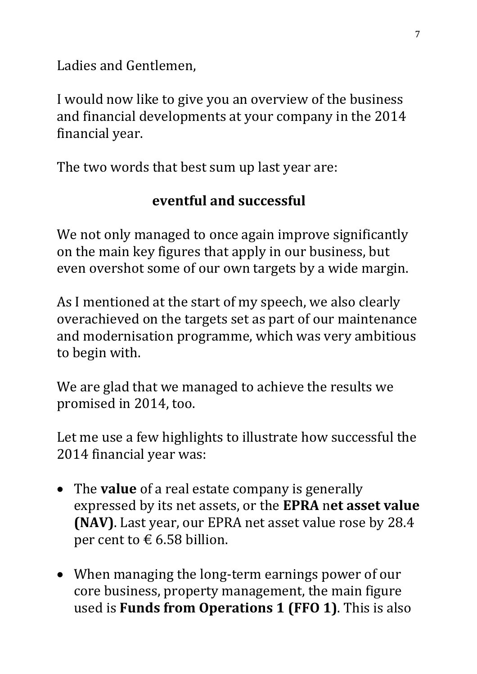Ladies and Gentlemen,

I would now like to give you an overview of the business and financial developments at your company in the 2014 financial year.

The two words that best sum up last year are:

## **eventful and successful**

We not only managed to once again improve significantly on the main key figures that apply in our business, but even overshot some of our own targets by a wide margin.

As I mentioned at the start of my speech, we also clearly overachieved on the targets set as part of our maintenance and modernisation programme, which was very ambitious to begin with.

We are glad that we managed to achieve the results we promised in 2014, too.

Let me use a few highlights to illustrate how successful the 2014 financial year was:

- The **value** of a real estate company is generally expressed by its net assets, or the **EPRA** n**et asset value (NAV)**. Last year, our EPRA net asset value rose by 28.4 per cent to  $\epsilon$  6.58 billion.
- When managing the long-term earnings power of our core business, property management, the main figure used is **Funds from Operations 1 (FFO 1)**. This is also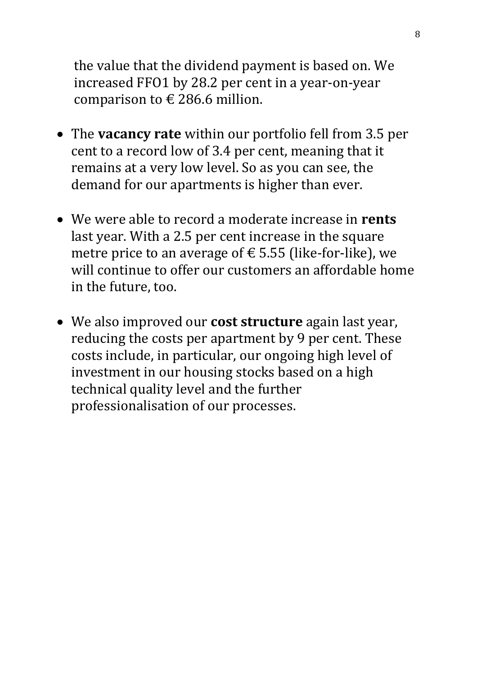the value that the dividend payment is based on. We increased FFO1 by 28.2 per cent in a year-on-year comparison to  $\epsilon$  286.6 million.

- The **vacancy rate** within our portfolio fell from 3.5 per cent to a record low of 3.4 per cent, meaning that it remains at a very low level. So as you can see, the demand for our apartments is higher than ever.
- We were able to record a moderate increase in **rents** last year. With a 2.5 per cent increase in the square metre price to an average of  $\epsilon$  5.55 (like-for-like), we will continue to offer our customers an affordable home in the future, too.
- We also improved our **cost structure** again last year, reducing the costs per apartment by 9 per cent. These costs include, in particular, our ongoing high level of investment in our housing stocks based on a high technical quality level and the further professionalisation of our processes.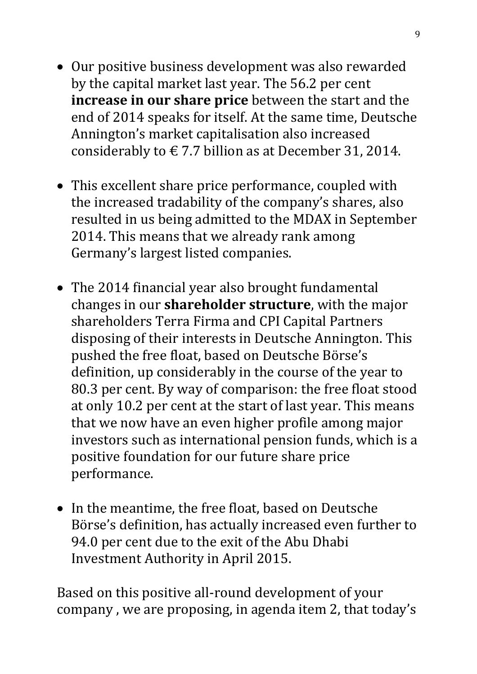- Our positive business development was also rewarded by the capital market last year. The 56.2 per cent **increase in our share price** between the start and the end of 2014 speaks for itself. At the same time, Deutsche Annington's market capitalisation also increased considerably to  $\epsilon$  7.7 billion as at December 31, 2014.
- This excellent share price performance, coupled with the increased tradability of the company's shares, also resulted in us being admitted to the MDAX in September 2014. This means that we already rank among Germany's largest listed companies.
- The 2014 financial year also brought fundamental changes in our **shareholder structure**, with the major shareholders Terra Firma and CPI Capital Partners disposing of their interests in Deutsche Annington. This pushed the free float, based on Deutsche Börse's definition, up considerably in the course of the year to 80.3 per cent. By way of comparison: the free float stood at only 10.2 per cent at the start of last year. This means that we now have an even higher profile among major investors such as international pension funds, which is a positive foundation for our future share price performance.
- In the meantime, the free float, based on Deutsche Börse's definition, has actually increased even further to 94.0 per cent due to the exit of the Abu Dhabi Investment Authority in April 2015.

Based on this positive all-round development of your company , we are proposing, in agenda item 2, that today's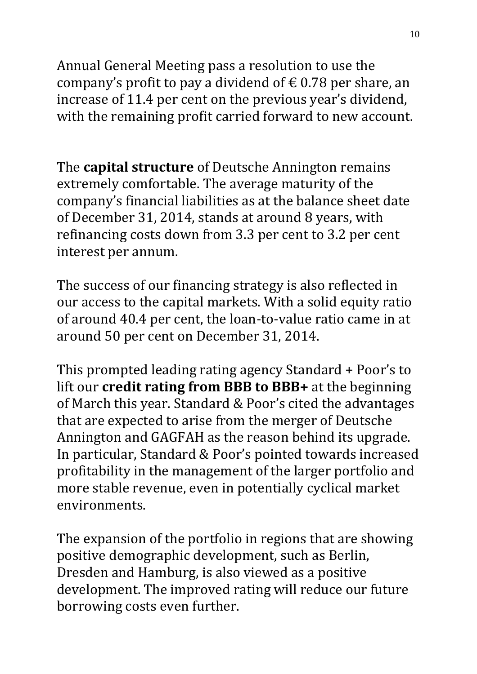Annual General Meeting pass a resolution to use the company's profit to pay a dividend of  $\epsilon$  0.78 per share, an increase of 11.4 per cent on the previous year's dividend, with the remaining profit carried forward to new account.

The **capital structure** of Deutsche Annington remains extremely comfortable. The average maturity of the company's financial liabilities as at the balance sheet date of December 31, 2014, stands at around 8 years, with refinancing costs down from 3.3 per cent to 3.2 per cent interest per annum.

The success of our financing strategy is also reflected in our access to the capital markets. With a solid equity ratio of around 40.4 per cent, the loan-to-value ratio came in at around 50 per cent on December 31, 2014.

This prompted leading rating agency Standard + Poor's to lift our **credit rating from BBB to BBB+** at the beginning of March this year. Standard & Poor's cited the advantages that are expected to arise from the merger of Deutsche Annington and GAGFAH as the reason behind its upgrade. In particular, Standard & Poor's pointed towards increased profitability in the management of the larger portfolio and more stable revenue, even in potentially cyclical market environments.

The expansion of the portfolio in regions that are showing positive demographic development, such as Berlin, Dresden and Hamburg, is also viewed as a positive development. The improved rating will reduce our future borrowing costs even further.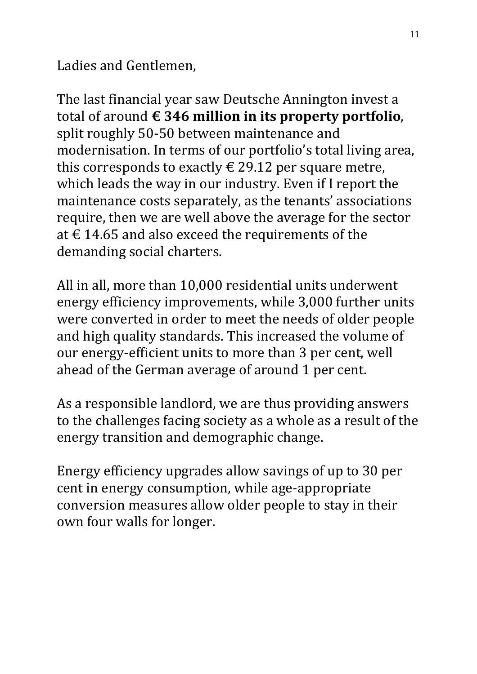Ladies and Gentlemen,

The last financial year saw Deutsche Annington invest a total of around **€ 346 million in its property portfolio**, split roughly 50-50 between maintenance and modernisation. In terms of our portfolio's total living area, this corresponds to exactly  $\epsilon$  29.12 per square metre, which leads the way in our industry. Even if I report the maintenance costs separately, as the tenants' associations require, then we are well above the average for the sector at € 14.65 and also exceed the requirements of the demanding social charters.

All in all, more than 10,000 residential units underwent energy efficiency improvements, while 3,000 further units were converted in order to meet the needs of older people and high quality standards. This increased the volume of our energy-efficient units to more than 3 per cent, well ahead of the German average of around 1 per cent.

As a responsible landlord, we are thus providing answers to the challenges facing society as a whole as a result of the energy transition and demographic change.

Energy efficiency upgrades allow savings of up to 30 per cent in energy consumption, while age-appropriate conversion measures allow older people to stay in their own four walls for longer.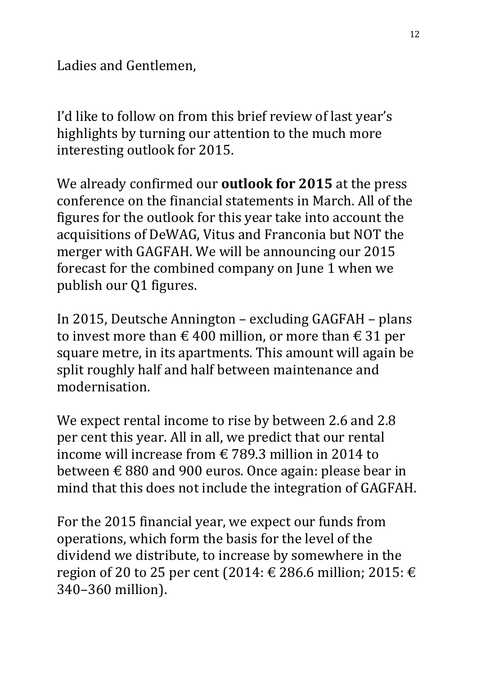Ladies and Gentlemen,

I'd like to follow on from this brief review of last year's highlights by turning our attention to the much more interesting outlook for 2015.

We already confirmed our **outlook for 2015** at the press conference on the financial statements in March. All of the figures for the outlook for this year take into account the acquisitions of DeWAG, Vitus and Franconia but NOT the merger with GAGFAH. We will be announcing our 2015 forecast for the combined company on June 1 when we publish our Q1 figures.

In 2015, Deutsche Annington – excluding GAGFAH – plans to invest more than  $\epsilon$  400 million, or more than  $\epsilon$  31 per square metre, in its apartments. This amount will again be split roughly half and half between maintenance and modernisation.

We expect rental income to rise by between 2.6 and 2.8 per cent this year. All in all, we predict that our rental income will increase from € 789.3 million in 2014 to between € 880 and 900 euros. Once again: please bear in mind that this does not include the integration of GAGFAH.

For the 2015 financial year, we expect our funds from operations, which form the basis for the level of the dividend we distribute, to increase by somewhere in the region of 20 to 25 per cent (2014:  $\in$  286.6 million; 2015:  $\in$ 340–360 million).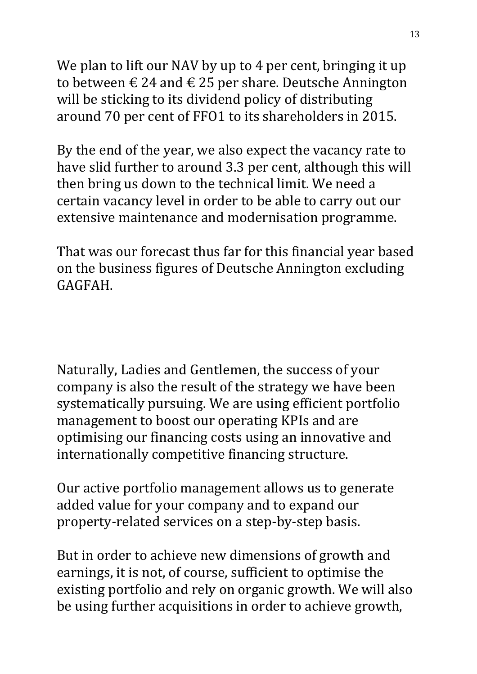We plan to lift our NAV by up to 4 per cent, bringing it up to between  $\epsilon$  24 and  $\epsilon$  25 per share. Deutsche Annington will be sticking to its dividend policy of distributing around 70 per cent of FFO1 to its shareholders in 2015.

By the end of the year, we also expect the vacancy rate to have slid further to around 3.3 per cent, although this will then bring us down to the technical limit. We need a certain vacancy level in order to be able to carry out our extensive maintenance and modernisation programme.

That was our forecast thus far for this financial year based on the business figures of Deutsche Annington excluding GAGFAH.

Naturally, Ladies and Gentlemen, the success of your company is also the result of the strategy we have been systematically pursuing. We are using efficient portfolio management to boost our operating KPIs and are optimising our financing costs using an innovative and internationally competitive financing structure.

Our active portfolio management allows us to generate added value for your company and to expand our property-related services on a step-by-step basis.

But in order to achieve new dimensions of growth and earnings, it is not, of course, sufficient to optimise the existing portfolio and rely on organic growth. We will also be using further acquisitions in order to achieve growth,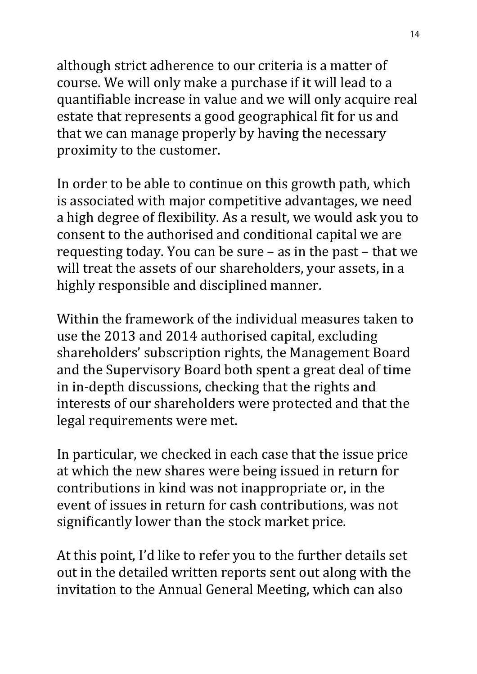although strict adherence to our criteria is a matter of course. We will only make a purchase if it will lead to a quantifiable increase in value and we will only acquire real estate that represents a good geographical fit for us and that we can manage properly by having the necessary proximity to the customer.

In order to be able to continue on this growth path, which is associated with major competitive advantages, we need a high degree of flexibility. As a result, we would ask you to consent to the authorised and conditional capital we are requesting today. You can be sure – as in the past – that we will treat the assets of our shareholders, your assets, in a highly responsible and disciplined manner.

Within the framework of the individual measures taken to use the 2013 and 2014 authorised capital, excluding shareholders' subscription rights, the Management Board and the Supervisory Board both spent a great deal of time in in-depth discussions, checking that the rights and interests of our shareholders were protected and that the legal requirements were met.

In particular, we checked in each case that the issue price at which the new shares were being issued in return for contributions in kind was not inappropriate or, in the event of issues in return for cash contributions, was not significantly lower than the stock market price.

At this point, I'd like to refer you to the further details set out in the detailed written reports sent out along with the invitation to the Annual General Meeting, which can also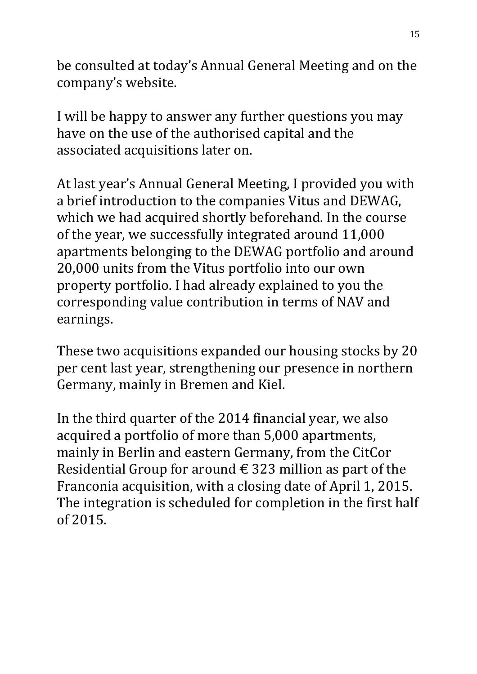be consulted at today's Annual General Meeting and on the company's website.

I will be happy to answer any further questions you may have on the use of the authorised capital and the associated acquisitions later on.

At last year's Annual General Meeting, I provided you with a brief introduction to the companies Vitus and DEWAG, which we had acquired shortly beforehand. In the course of the year, we successfully integrated around 11,000 apartments belonging to the DEWAG portfolio and around 20,000 units from the Vitus portfolio into our own property portfolio. I had already explained to you the corresponding value contribution in terms of NAV and earnings.

These two acquisitions expanded our housing stocks by 20 per cent last year, strengthening our presence in northern Germany, mainly in Bremen and Kiel.

In the third quarter of the 2014 financial year, we also acquired a portfolio of more than 5,000 apartments, mainly in Berlin and eastern Germany, from the CitCor Residential Group for around  $\epsilon$  323 million as part of the Franconia acquisition, with a closing date of April 1, 2015. The integration is scheduled for completion in the first half of 2015.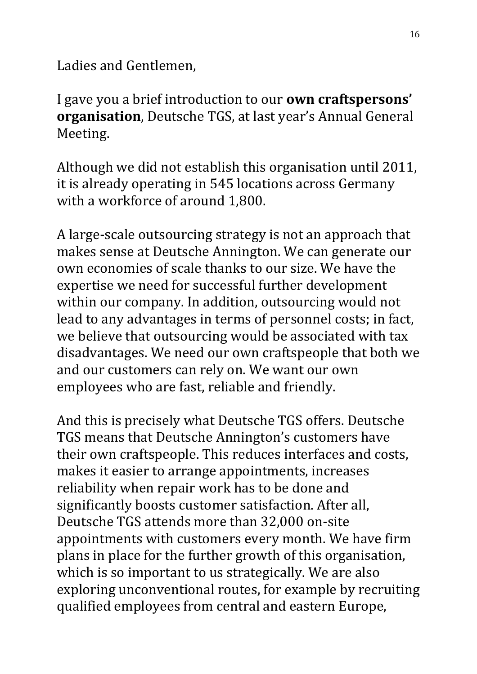Ladies and Gentlemen,

I gave you a brief introduction to our **own craftspersons' organisation**, Deutsche TGS, at last year's Annual General Meeting.

Although we did not establish this organisation until 2011, it is already operating in 545 locations across Germany with a workforce of around 1,800.

A large-scale outsourcing strategy is not an approach that makes sense at Deutsche Annington. We can generate our own economies of scale thanks to our size. We have the expertise we need for successful further development within our company. In addition, outsourcing would not lead to any advantages in terms of personnel costs; in fact, we believe that outsourcing would be associated with tax disadvantages. We need our own craftspeople that both we and our customers can rely on. We want our own employees who are fast, reliable and friendly.

And this is precisely what Deutsche TGS offers. Deutsche TGS means that Deutsche Annington's customers have their own craftspeople. This reduces interfaces and costs, makes it easier to arrange appointments, increases reliability when repair work has to be done and significantly boosts customer satisfaction. After all, Deutsche TGS attends more than 32,000 on-site appointments with customers every month. We have firm plans in place for the further growth of this organisation, which is so important to us strategically. We are also exploring unconventional routes, for example by recruiting qualified employees from central and eastern Europe,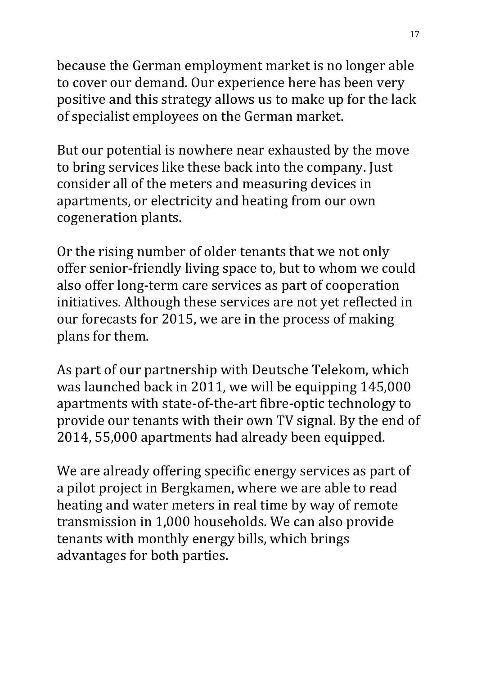because the German employment market is no longer able to cover our demand. Our experience here has been very positive and this strategy allows us to make up for the lack of specialist employees on the German market.

But our potential is nowhere near exhausted by the move to bring services like these back into the company. Just consider all of the meters and measuring devices in apartments, or electricity and heating from our own cogeneration plants.

Or the rising number of older tenants that we not only offer senior-friendly living space to, but to whom we could also offer long-term care services as part of cooperation initiatives. Although these services are not yet reflected in our forecasts for 2015, we are in the process of making plans for them.

As part of our partnership with Deutsche Telekom, which was launched back in 2011, we will be equipping 145,000 apartments with state-of-the-art fibre-optic technology to provide our tenants with their own TV signal. By the end of 2014, 55,000 apartments had already been equipped.

We are already offering specific energy services as part of a pilot project in Bergkamen, where we are able to read heating and water meters in real time by way of remote transmission in 1,000 households. We can also provide tenants with monthly energy bills, which brings advantages for both parties.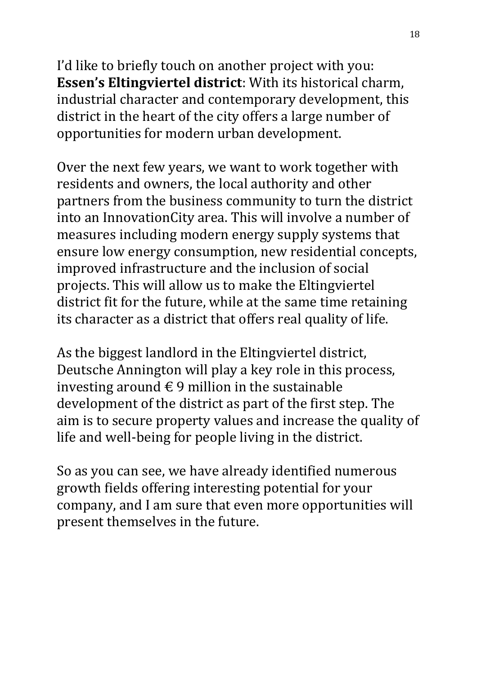I'd like to briefly touch on another project with you: **Essen's Eltingviertel district**: With its historical charm, industrial character and contemporary development, this district in the heart of the city offers a large number of opportunities for modern urban development.

Over the next few years, we want to work together with residents and owners, the local authority and other partners from the business community to turn the district into an InnovationCity area. This will involve a number of measures including modern energy supply systems that ensure low energy consumption, new residential concepts, improved infrastructure and the inclusion of social projects. This will allow us to make the Eltingviertel district fit for the future, while at the same time retaining its character as a district that offers real quality of life.

As the biggest landlord in the Eltingviertel district, Deutsche Annington will play a key role in this process, investing around  $\epsilon$  9 million in the sustainable development of the district as part of the first step. The aim is to secure property values and increase the quality of life and well-being for people living in the district.

So as you can see, we have already identified numerous growth fields offering interesting potential for your company, and I am sure that even more opportunities will present themselves in the future.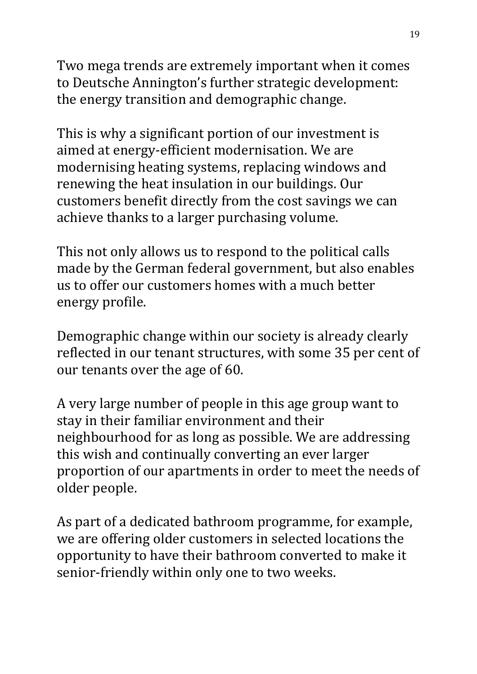Two mega trends are extremely important when it comes to Deutsche Annington's further strategic development: the energy transition and demographic change.

This is why a significant portion of our investment is aimed at energy-efficient modernisation. We are modernising heating systems, replacing windows and renewing the heat insulation in our buildings. Our customers benefit directly from the cost savings we can achieve thanks to a larger purchasing volume.

This not only allows us to respond to the political calls made by the German federal government, but also enables us to offer our customers homes with a much better energy profile.

Demographic change within our society is already clearly reflected in our tenant structures, with some 35 per cent of our tenants over the age of 60.

A very large number of people in this age group want to stay in their familiar environment and their neighbourhood for as long as possible. We are addressing this wish and continually converting an ever larger proportion of our apartments in order to meet the needs of older people.

As part of a dedicated bathroom programme, for example, we are offering older customers in selected locations the opportunity to have their bathroom converted to make it senior-friendly within only one to two weeks.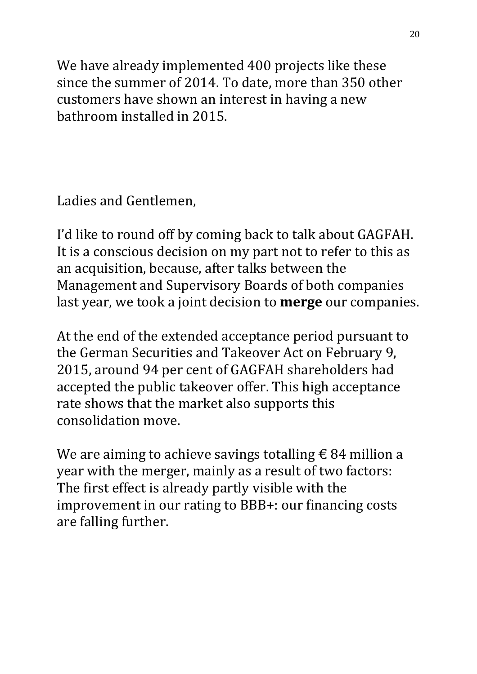We have already implemented 400 projects like these since the summer of 2014. To date, more than 350 other customers have shown an interest in having a new bathroom installed in 2015.

Ladies and Gentlemen,

I'd like to round off by coming back to talk about GAGFAH. It is a conscious decision on my part not to refer to this as an acquisition, because, after talks between the Management and Supervisory Boards of both companies last year, we took a joint decision to **merge** our companies.

At the end of the extended acceptance period pursuant to the German Securities and Takeover Act on February 9, 2015, around 94 per cent of GAGFAH shareholders had accepted the public takeover offer. This high acceptance rate shows that the market also supports this consolidation move.

We are aiming to achieve savings totalling  $\epsilon$  84 million a year with the merger, mainly as a result of two factors: The first effect is already partly visible with the improvement in our rating to BBB+: our financing costs are falling further.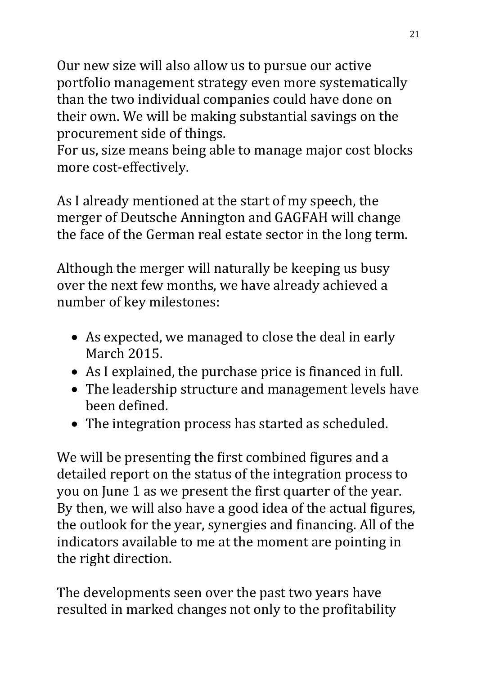Our new size will also allow us to pursue our active portfolio management strategy even more systematically than the two individual companies could have done on their own. We will be making substantial savings on the procurement side of things.

For us, size means being able to manage major cost blocks more cost-effectively.

As I already mentioned at the start of my speech, the merger of Deutsche Annington and GAGFAH will change the face of the German real estate sector in the long term.

Although the merger will naturally be keeping us busy over the next few months, we have already achieved a number of key milestones:

- As expected, we managed to close the deal in early March 2015.
- As I explained, the purchase price is financed in full.
- The leadership structure and management levels have been defined.
- The integration process has started as scheduled.

We will be presenting the first combined figures and a detailed report on the status of the integration process to you on June 1 as we present the first quarter of the year. By then, we will also have a good idea of the actual figures, the outlook for the year, synergies and financing. All of the indicators available to me at the moment are pointing in the right direction.

The developments seen over the past two years have resulted in marked changes not only to the profitability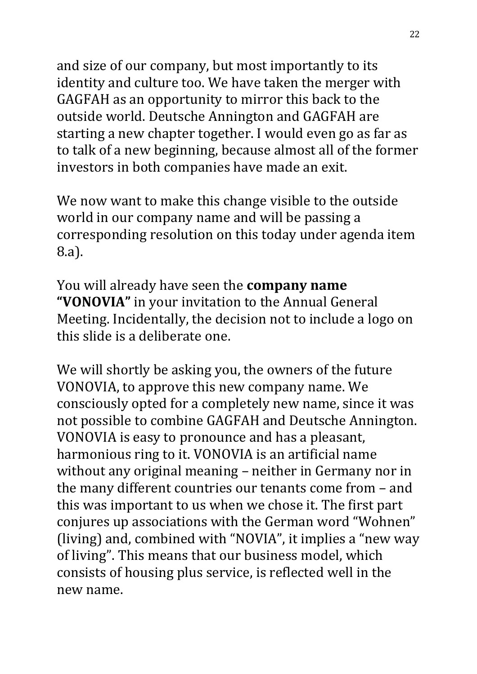and size of our company, but most importantly to its identity and culture too. We have taken the merger with GAGFAH as an opportunity to mirror this back to the outside world. Deutsche Annington and GAGFAH are starting a new chapter together. I would even go as far as to talk of a new beginning, because almost all of the former investors in both companies have made an exit.

We now want to make this change visible to the outside world in our company name and will be passing a corresponding resolution on this today under agenda item 8.a).

You will already have seen the **company name "VONOVIA"** in your invitation to the Annual General Meeting. Incidentally, the decision not to include a logo on this slide is a deliberate one.

We will shortly be asking you, the owners of the future VONOVIA, to approve this new company name. We consciously opted for a completely new name, since it was not possible to combine GAGFAH and Deutsche Annington. VONOVIA is easy to pronounce and has a pleasant, harmonious ring to it. VONOVIA is an artificial name without any original meaning – neither in Germany nor in the many different countries our tenants come from – and this was important to us when we chose it. The first part conjures up associations with the German word "Wohnen" (living) and, combined with "NOVIA", it implies a "new way of living". This means that our business model, which consists of housing plus service, is reflected well in the new name.